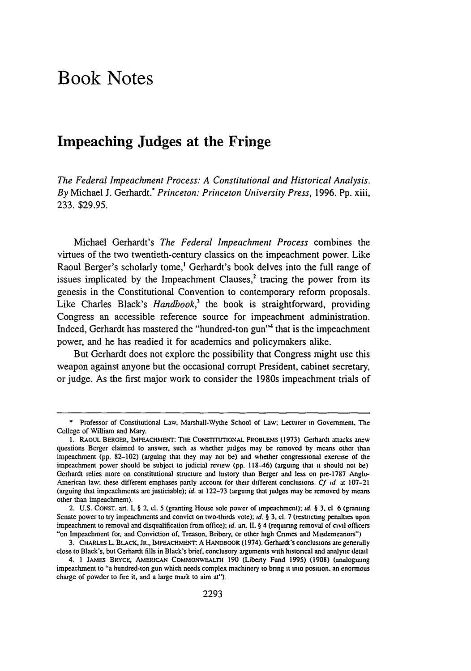## Book Notes

## Impeaching Judges at the Fringe

*The Federal Impeachment Process: A Constitutional and Historical Analysis. By* Michael **J.** Gerhardt.\* *Princeton: Princeton University Press,* **1996. Pp.** xiii, **233. \$29.95.**

Michael Gerhardt's *The Federal Impeachment Process* combines the virtues of the two twentieth-century classics on the impeachment power. Like Raoul Berger's scholarly tome,' Gerhardt's book delves into the full range of issues implicated by the Impeachment Clauses,<sup>2</sup> tracing the power from its genesis in the Constitutional Convention to contemporary reform proposals. Like Charles Black's *Handbook*,<sup>3</sup> the book is straightforward, providing Congress an accessible reference source for impeachment administration. Indeed, Gerhardt has mastered the "hundred-ton gun"' that is the impeachment power, and he has readied it for academics and policymakers **alike.**

But Gerhardt does not explore the possibility that Congress might use this weapon against anyone but the occasional corrupt President, cabinet secretary, or judge. As the first major work to consider the 1980s impeachment trials of

**<sup>\*</sup>** Professor of Constitutional Law, Marshall-Wythe School of Law; Lecturer in Government. The College of William and Mary.

**<sup>1.</sup>** RAouL BERGER, LMPEACHWIENT: THE CONSTrrrImONAL PROBLEMS (1973) Gerhardt attacks ancw questions Berger claimed to answer, such as whether judges may be removed by means other than impeachment (pp. 82-102) (arguing that they may not be) and whether congressional exercise of the impeachment power should be subject to judicial review (pp. 118-46) (arguing that **it** should not be) Gerhardt relies more on constitutional structure and history than Berger and less on pre-1787 Anglo-American law; these different emphases partly account for their different conclusions. **Cf** *id* at 107-21 (arguing that impeachments are justiciable); id. at 122-73 (arguing that judges may be removed by means other than impeachment).

<sup>2.</sup> U.S. CONST. art. I, § 2, cl. 5 (granting House sole power of impeachment); **id.** § 3. cl 6 (granting Senate power to try impeachments and convict on two-thirds vote); **id.** § **3.** cl. 7 (resticung penaltics upon impeachment to removal and disqualification from office); *:d.* an. **11.** § 4 (requring removal of civil officers "on Impeachment for, and Conviction of, Treason, Bribery, or other high Crimes and Misdemeanors")

**<sup>3.</sup>** CHARLEs L. BLACK, **JR.,** IMPEACHMENT: **A** HANDBOOK (1974). Gerhardt's conclusions **arc** generally close to Black's, but Gerhardt fills in Black's brief, conclusory arguments with histoncal and analytic detail

<sup>4. 1</sup> JAMES BRYCE, AMtERICAN COMMONWEALTH 190 (Liberty Fund 1995) **(1908)** (analogizing impeachment to "a hundred-ton gun which needs complex machinery to bnng **it** into positon. an enormous charge of powder to fire it, and a large mark to aim at").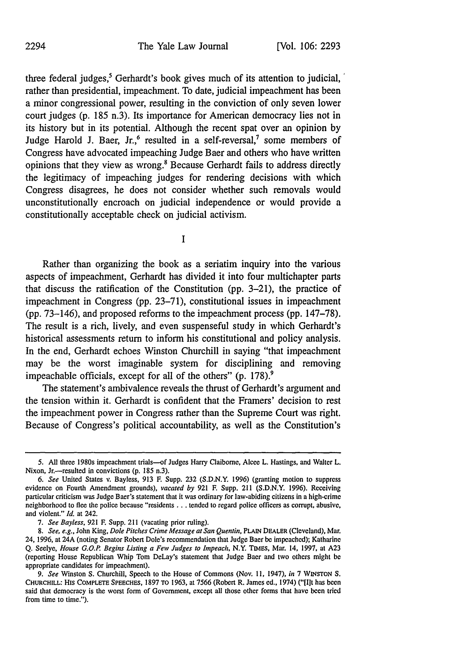three federal judges,<sup>5</sup> Gerhardt's book gives much of its attention to judicial, rather than presidential, impeachment. To date, judicial impeachment has been a minor congressional power, resulting in the conviction of only seven lower court judges (p. 185 n.3). Its importance for American democracy lies not in its history but in its potential. Although the recent spat over an opinion by Judge Harold J. Baer, Jr.,<sup>6</sup> resulted in a self-reversal,<sup>7</sup> some members of Congress have advocated impeaching Judge Baer and others who have written opinions that they view as wrong.' Because Gerhardt fails to address directly the legitimacy of impeaching judges for rendering decisions with which Congress disagrees, he does not consider whether such removals would unconstitutionally encroach on judicial independence or would provide a constitutionally acceptable check on judicial activism.

**I**

Rather than organizing the book as a seriatim inquiry into the various aspects of impeachment, Gerhardt has divided it into four multichapter parts that discuss the ratification of the Constitution (pp. 3-21), the practice of impeachment in Congress (pp. 23-71), constitutional issues in impeachment (pp. 73-146), and proposed reforms to the impeachment process (pp. 147-78). The result is a rich, lively, and even suspenseful study in which Gerhardt's historical assessments return to inform his constitutional and policy analysis. In the end, Gerhardt echoes Winston Churchill in saying "that impeachment may be the worst imaginable system for disciplining and removing impeachable officials, except for all of the others"  $(p. 178)$ .

The statement's ambivalence reveals the thrust of Gerhardt's argument and the tension within it. Gerhardt is confident that the Framers' decision to rest the impeachment power in Congress rather than the Supreme Court was right. Because of Congress's political accountability, as well as the Constitution's

**<sup>5.</sup>** All three 1980s impeachment trials-of Judges Harry Claibome, Alcee L. Hastings, and Walter L. Nixon, Jr.---resulted in convictions (p. 185 n.3).

*<sup>6.</sup> See* United States v. Bayless, 913 F. Supp. 232 (S.D.N.Y. 1996) (granting motion to suppress evidence on Fourth Amendment grounds), *vacated by* 921 F. Supp. 211 (S.D.N.Y. 1996). Receiving particular criticism was Judge Baer's statement that it was ordinary for law-abiding citizens in a high-crime neighborhood to flee the police because "residents ... tended to regard police officers as corrupt, abusive, and violent." *Id.* at 242.

*<sup>7.</sup> See Bayless,* 921 F. Supp. 211 (vacating prior ruling).

*<sup>8.</sup> See, e.g.,* John King, *Dole Pitches Crime Message* at *San Quentin,* PLAIN DEALER (Cleveland), Mar. 24, 1996, at 24A (noting Senator Robert Dole's recommendation that Judge Baer be impeached); Katharine Q. Seelye, *House G.O.P. Begins Listing a Few Judges to Impeach,* N.Y. TIMES, Mar. 14, 1997, at A23 (reporting House Republican Whip Tom DeLay's statement that Judge Baer and two others might be appropriate candidates for impeachment).

*<sup>9.</sup> See* Winston **S.** Churchill, Speech to the House of Commons (Nov. 11, 1947), *in* 7 WINSTON S. CHURCHILL: HIS COMPLETE **SPEECHES,** 1897 TO 1963, at 7566 (Robert R. James ed., 1974) ("[llt has been said that democracy is the worst form of Government, except all those other forms that have been tried from time to time.").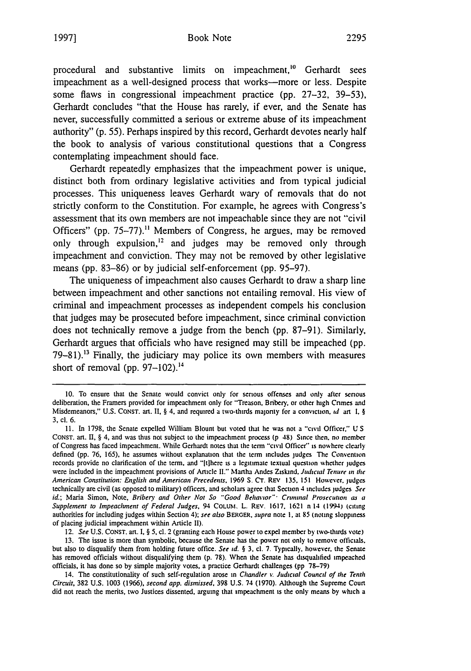procedural and substantive limits on impeachment.<sup>10</sup> Gerhardt sees impeachment as a well-designed process that works-more or less. Despite some flaws in congressional impeachment practice **(pp. 27-32, 39-53),** Gerhardt concludes "that the House has rarely, if ever, and the Senate has never, successfully committed a serious or extreme abuse of its impeachment authority" **(p. 55).** Perhaps inspired **by** this record, Gerhardt devotes nearly half the book to analysis of various constitutional questions that a Congress contemplating impeachment should face.

Gerhardt repeatedly emphasizes that the impeachment power is unique, distinct both from ordinary legislative activities and from typical judicial processes. This uniqueness leaves Gerhardt wary of removals that do not strictly conform to the Constitution. For example, he agrees with Congress's assessment that its own members are not impeachable since they are not "civil Officers" **(pp. 75-77)."** Members of Congress, he argues, may be removed only through expulsion,<sup>12</sup> and judges may be removed only through impeachment and conviction. They may not be removed **by** other legislative means **(pp. 83-86)** or **by** judicial self-enforcement **(pp. 95-97).**

The uniqueness of impeachment also causes Gerhardt to draw a sharp line between impeachment and other sanctions not entailing removal. His view of criminal and impeachment processes as independent compels his conclusion that judges may be prosecuted before impeachment, since criminal conviction does not technically remove a judge from the bench **(pp. 87-91).** Similarly, Gerhardt argues that officials who have resigned may still be impeached **(pp. 79-81)."3** Finally, the judiciary may police its own members with measures short of removal **(pp. 97-102).14**

12. See **U.S. CONST. art. I, § 5, el.** 2 (granting each House power to expel member **by** two-thtrds vote)

**13.** The issue is more than symbolic, because the Senate has the power not only **to** remove officials, but also to disqualify them from holding future office. See id. **§ 3. cl. 7.** Typically. however, the Senate has removed officials without disqualifying them **(p. 78).** When the Senate has disqualified impeached officials, it has done so **by** simple majority votes, a practice Gerhardt challenges **(pp 78-79)**

14. The constitutionality of such self-regulation arose in Chandler *%,* Judicial Council **of the Tenth** Circuit, **382 U.S. 1003 (1966).** second app. dismissed, **398 U.S.** 74 **(1970).** Although the Supreme Court did not reach the merits, two Justices dissented, arguing that impeachment **is** the only means **by** which a

**<sup>10.</sup>** To ensure that the Senate would convict only for serious offenses and only after senous deliberation, the Framers provided for impeachment only for "Treason. Bribery. or other **lugh** Cnmes and Misdemeanors," **U.S. CONST. at. II, § 4,** and required a two-thirds majonty for a conviction. **id** all **1. § 3, cl. 6.**

**<sup>11.</sup>** In **1798,** the Senate expelled William Blount but voted **that** he was not a 'civil **Officer," US CONST.** art. II, **§** 4, and was thus not subject to the impeachment process **(p** 48) Since then. no member of Congress has faced impeachment. **While** Gerhardt notes that the term "civil Officer" is no **vhcer** clearly defined **(pp. 76, 165),** he assumes without explanation that the term includes **judges** The Convention records provide no clarification of the term, and "[t]here is a legitimate textual question whether judges were included in the impeachment provisions of Article **II."** Martha Andes Ziskmnd. **Judicial Tenure** in the American **Constitution: English and** American Precedents. **1969 S CT. REV 135, 151** However. **judges** technically are civil (as opposed to military) officers, and scholars agree that Section **4** includes judges **See** id.; Maria Simon, Note, Bribery and Other Not So *"Good* Behavior" *Crnminal* **Prosecution as** a Supplement to Impeachment of Federal Judges, 94 **COLUi.** L. REv. **1617. 1621** n 14 (1994) (cittng authorities for including judges within Section 4); see also BERGER, supra note 1, at 85 (noting sloppiness of placing judicial impeachment within Article **II).**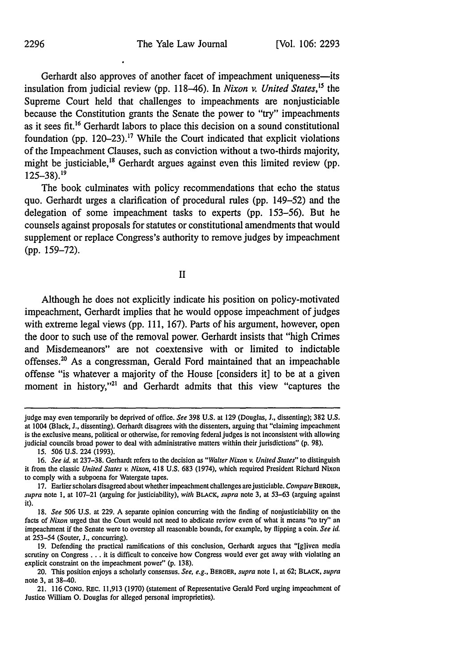Gerhardt also approves of another facet of impeachment uniqueness--its insulation from judicial review **(pp.** 118-46). In *Nixon v. United States,5* the Supreme Court held that challenges to impeachments are nonjusticiable because the Constitution grants the Senate the power to "try" impeachments as it sees fit.<sup>16</sup> Gerhardt labors to place this decision on a sound constitutional foundation (pp. 120–23).<sup>17</sup> While the Court indicated that explicit violations of the Impeachment Clauses, such as conviction without a two-thirds majority, might be justiciable,"8 Gerhardt argues against even this limited review **(pp. 125-38). <sup>9</sup>**

The book culminates with policy recommendations that echo the status quo. Gerhardt urges a clarification of procedural rules **(pp.** 149-52) and the delegation of some impeachment tasks to experts **(pp. 153-56).** But he counsels against proposals for statutes or constitutional amendments that would supplement or replace Congress's authority to remove judges **by** impeachment **(pp. 159-72).**

**II**

Although he does not explicitly indicate his position on policy-motivated impeachment, Gerhardt implies that he would oppose impeachment of judges with extreme legal views **(pp. 111, 167).** Parts of his argument, however, open the door to such use of the removal power. Gerhardt insists that "high Crimes and Misdemeanors" are not coextensive with or limited to indictable offenses.<sup>20</sup> As a congressman, Gerald Ford maintained that an impeachable offense "is whatever a majority of the House [considers it] to be at a given moment in history,"<sup>21</sup> and Gerhardt admits that this view "captures the

*15.* **506 U.S.** 224 **(1993).**

judge may even temporarily be deprived of office. *See* **398 U.S.** at **129** (Douglas, **J.,** dissenting); **382 U.S.** at 1004 (Black, **J.,** dissenting). Gerhardt disagrees with the dissenters, arguing that "claiming impeachment is the exclusive means, political or otherwise, for removing federal judges is not inconsistent with allowing judicial councils broad power to deal with administrative matters within their jurisdictions" **(p. 98).**

**<sup>16.</sup>** *See id.* at **237-38.** Gerhardt refers to the decision as *"Walter Nixon v. United States"* **to** distinguish it from the classic *United States v. Nixon,* 418 **U.S. 683** (1974), which required President Richard Nixon to comply with a subpoena for Watergate tapes.

**<sup>17.</sup>** Earlier scholars disagreed about whether impeachment challenges arejusticiable. *Compare BERGEtR, supra* note **1,** at **107-21** (arguing for justiciability), *with* BLACK, *supra* note **3,** at **53-63** (arguing against it).

**<sup>18.</sup>** *See* **506 U.S.** at **229. A** separate opinion concurring with the finding of nonjusticiability on the facts of *Nixon* urged that the Court would not need to abdicate review even of what it means "to **try"** an impeachment if the Senate were to overstep all reasonable bounds, for example, **by** flipping a coin. *See id.* at **253-54** (Souter, **J.,** concurring).

**<sup>19.</sup>** Defending the practical ramifications of this conclusion, Gerhardt argues that **"Ig]iven** media scrutiny on Congress **...** it is difficult to conceive how Congress would ever get away with violating an explicit constraint on the impeachment power" **(p. 138).**

<sup>20.</sup> This position enjoys a scholarly consensus. *See, e.g.,* **BERGER,** *supra* note **1,** at **62; BLACK,** *supra* note **3,** at 38-40.

<sup>21.</sup> **116** CONG. **REC. 11,913 (1970)** (statement of Representative Gerald Ford urging impeachment of Justice William **0.** Douglas for alleged personal improprieties).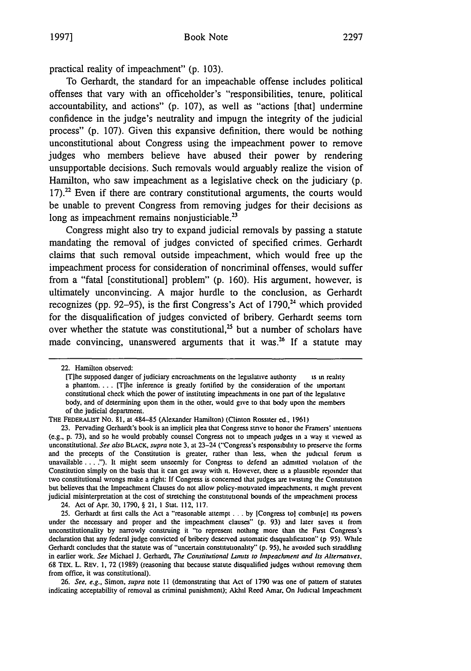practical reality of impeachment" **(p. 103).**

To Gerhardt, the standard for an impeachable offense includes political offenses that vary with an officeholder's "responsibilities, tenure, political accountability, and actions" **(p. 107),** as well as "actions [that] undermine confidence in the judge's neutrality and impugn the integrity of the judicial process" **(p. 107).** Given this expansive definition, there would be nothing unconstitutional about Congress using the impeachment power to remove judges who members believe have abused their power **by** rendering unsupportable decisions. Such removals would arguably realize the vision of Hamilton, who saw impeachment as a legislative check on the judiciary **(p.**  $17$ ).<sup>22</sup> Even if there are contrary constitutional arguments, the courts would be unable to prevent Congress from removing judges for their decisions as long as impeachment remains nonjusticiable.<sup>23</sup>

Congress might also try to expand judicial removals **by** passing a statute mandating the removal of judges convicted of specified crimes. Gerhardt claims that such removal outside impeachment, which would free up the impeachment process for consideration of noncriminal offenses, would suffer from a "fatal [constitutional] problem" **(p. 160).** His argument, however, is ultimately unconvincing. **A** major hurdle to the conclusion, as Gerhardt recognizes (pp. 92–95), is the first Congress's Act of 1790,<sup>24</sup> which provided for the disqualification of judges convicted of bribery. Gerhardt seems **torn** over whether the statute was constitutional,<sup>25</sup> but a number of scholars have made convincing, unanswered arguments that it was.<sup>26</sup> If a statute may

24. Act of Apr. 30, 1790, § 21, 1 Stat. 112, 117.

*26. See, e.g.,* Simon, *supra* note **II** (demonstrating that Act of 1790 was one of pattern of statutes indicating acceptability of removal as criminal punishment); Akhil Reed Amar. On Judicial Impeachment

<sup>22.</sup> Hamilton observed:

<sup>[</sup>Tihe supposed danger of judiciary encroachments on the legislative authority is in reality a phantom.... [Tlhe inference is greatly fortified by the consideration of the important constitutional check which the power of instituting impeachments in one pan of the legislative body, and of determining upon them in the other, would give to that body upon the members of the judicial department.

THE FEDERALIST No. 81, at 484-85 (Alexander Hamilton) (Clinton Rossiter ed.. 1961)

<sup>23.</sup> Pervading Gerhardt's book is an implicit plea that Congress stmve to honor the Framers' intentions (e.g., p. 73), and so he would probably counsel Congress not to unpeach judges in a way **it** viewed as unconstitutional. See also BLACK, supra note **3,** at 23-24 ("Congress's responsibility to preserve the forms and the precepts of the Constitution is greater, rather than less, when the judicial forum **is** unavailable **.... ").** It might seem unseemly for Congress to defend an admitted violation of *the* Constitution simply on the basis that it can get away with **it.** However, there **is** a plausible rejoinder that two constitutional wrongs make a right: If Congress is concerned that judges are twistng the Constitution but believes that the Impeachment Clauses do not allow policy.mouvated impeachments, **it** might prevent judicial misinterpretation at the cost of stretching the constitutional bounds of the impeachment process

**<sup>25.</sup>** Gerhardt at first calls the Act a "reasonable attempt **...** by [Congress tol combine] its powers under the necessary and proper and the impeachment clauses" (p. 93) and later saves **it** from unconstitutionality by narrowly construing it "to represent nothing more than the First Congress's declaration that any federal judge convicted of bribery deserved automatic disqualification" (p 95). While Gerhardt concludes that the statute was of "uncertain constitutionality" (p. 95). he avoided such straddling in earlier work. See Michael J. Gerhardt, *7he* Constiutional Lurnrs to *Impeachment* and Its Alternatves, 68 TEx. L. REv. 1, 72 (1989) (reasoning that because statute disqualified judges without removing them from office, it was constitutional).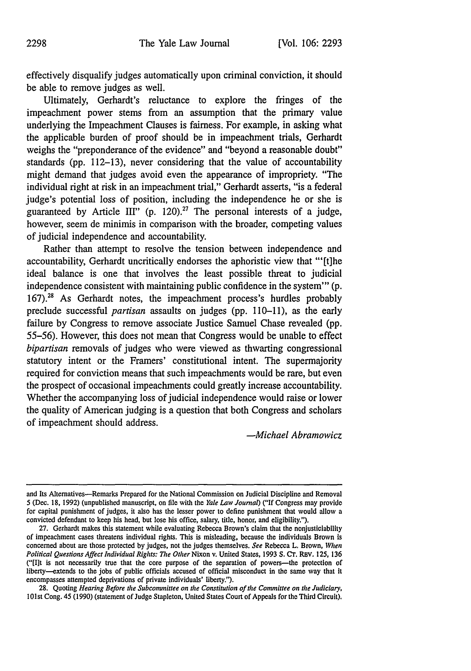effectively disqualify judges automatically upon criminal conviction, it should be able to remove judges as well.

Ultimately, Gerhardt's reluctance to explore the fringes of the impeachment power stems from an assumption that the primary value underlying the Impeachment Clauses is fairness. For example, in asking what the applicable burden of proof should be in impeachment trials, Gerhardt weighs the "preponderance of the evidence" and "beyond a reasonable doubt" standards **(pp. 112-13),** never considering that the value of accountability might demand that judges avoid even the appearance of impropriety. "The individual right at risk in an impeachment trial," Gerhardt asserts, "is a federal judge's potential loss of position, including the independence he or she is guaranteed **by** Article **III" (p.** 120).27 The personal interests of a judge, however, seem de minimis in comparison with the broader, competing values of judicial independence and accountability.

Rather than attempt to resolve the tension between independence and accountability, Gerhardt uncritically endorses the aphoristic view that **"'[t]he** ideal balance is one that involves the least possible threat to judicial independence consistent with maintaining public confidence in the system"' **(p.** 167).<sup>28</sup> As Gerhardt notes, the impeachment process's hurdles probably preclude successful *partisan* assaults on judges **(pp. 110-11),** as the early failure **by** Congress to remove associate Justice Samuel Chase revealed **(pp. 55-56).** However, this does not mean that Congress would be unable to effect *bipartisan* removals of judges who were viewed as thwarting congressional statutory intent or the Framers' constitutional intent. The supermajority required for conviction means that such impeachments would be rare, but even the prospect of occasional impeachments could greatly increase accountability. Whether the accompanying loss of judicial independence would raise or lower the quality of American judging is a question that both Congress and scholars of impeachment should address.

*-Michael Abramowicz*

**28.** Quoting *Hearing Before the Subcormnittee on the Constitution of the Committee* **on the Judiciary,** 101st Cong. 45 **(1990)** (statement of Judge Stapleton, United States Court of Appeals for the Third Circuit),

and Its Alternatives-Remarks Prepared for the National Commission on Judicial Discipline and Removal **5** (Dec. **18, 1992)** (unpublished manuscript, on file with the *Yale Law Journal)* ("If Congress may provide for capital punishment of judges, it also has the lesser power to define punishment that would allow a convicted defendant to keep his head, but lose his office, salary, title, honor, and eligibility.").

**<sup>27.</sup>** Gerhardt makes this statement while evaluating Rebecca Brown's claim that the nonjusticlability of impeachment cases threatens individual rights. This is misleading, because the individuals Brown is concerned about are those protected **by** judges, not the judges themselves. *See* Rebecca L. Brown, *When Political Questions Affect Individual Rights: The Other* Nixon v. United States, **1993 S. CT.** REV. **125, 136** ("(Ilt is not necessarily true that the core purpose of the separation of powers-the protection of liberty-extends to the jobs of public officials accused of official misconduct in **the** same way that it encompasses attempted deprivations of private individuals' liberty.").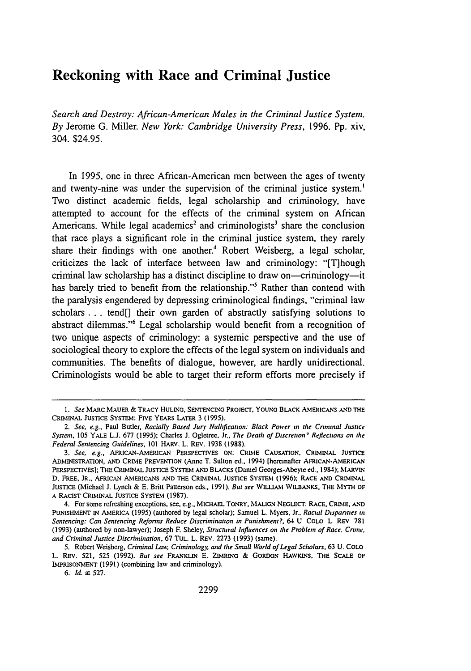## Reckoning with Race and Criminal Justice

*Search and Destroy: African-American Males in the Criminal Justice System. By* Jerome G. Miller. *New York: Cambridge University Press,* 1996. Pp. xiv, 304. \$24.95.

In 1995, one in three African-American men between the ages of twenty and twenty-nine was under the supervision of the criminal justice system.' Two distinct academic fields, legal scholarship and criminology, have attempted to account for the effects of the criminal system on African Americans. While legal academics<sup>2</sup> and criminologists<sup>3</sup> share the conclusion that race plays a significant role in the criminal justice system, they rarely share their findings with one another.' Robert Weisberg, a legal scholar, criticizes the lack of interface between law and criminology: "[T]hough criminal law scholarship has a distinct discipline to draw on—criminology—it has barely tried to benefit from the relationship."<sup>5</sup> Rather than contend with the paralysis engendered by depressing criminological findings, "criminal law scholars **...** tend[] their own garden of abstractly satisfying solutions to abstract dilemmas."6 Legal scholarship would benefit from a recognition of two unique aspects of criminology: a systemic perspective and the use of sociological theory to explore the effects of the legal system on individuals and communities. The benefits of dialogue, however, are hardly unidirectional. Criminologists would be able to target their reform efforts more precisely if

*<sup>1.</sup> See* MARC MAUER & TRACY HULING, SENTENCING **PROJECT. YOUNG BLACK** AMERICANS **AND THE** CRIMINAL JUSTICE SYSTEM: FIVE YEARS LATER 3 (1995).

*<sup>2.</sup>* See, *e.g.,* Paul Butler, Racially Based Jury Nullification: Black Power in *the* Criminal Justice *System,* 105 YALE **L.J.** 677 (1995); Charles J. Ogletree, **Jr..** *The Death of Discretion7 Reflections on the Federal Sentencing Guidelines, 101* HARV. L. REV. 1938 (1988).

*<sup>3.</sup> See, e.g.,* **AFRICAN-AMERICAN** PERSPECTIVES **ON: CRIME CAUSATION.** CRIMINAL **JUSTICE ADMINISTRATION, AND CRIME** PREVENTION (Anne **T.** Sulton **ed..** 1994) (herinafter AFRICAN-AmERICAN PERSPECTIVES]; THE CRIMINAL **JUSTICE SYSTEM AND** BLACKS (Daniel Georges-Abeye **ed.,** 1984); MARVIN **D. FREE, JR., AFRICAN AMERICANS AND THE CRIMINAL JUSTICE SYSTEM (1996); RACE AND** CRMIINAL **JUSTICE (Michael J. Lynch & E. Britt Pauerson eds.,** 1991). *But see* **WlLIjM.I** \vILBANKS. *THE* **MYTH** OF **A RACIST CRIMINAL** JUSTICE **SYSTEM (1987).**

<sup>4.</sup> **For some refreshing exceptions, see, e.g..** MICHAEL **TONRY. MALIGN NEGLECT. RACE. CRWIE. AND PUNISHMENT IN AMERICA (1995) (authored by legal scholar); Samuel L.** Myers. **Jr..** *Racial Disparities in Sentencing: Can Sentencing Reforms Reduce Discriminanon in Punisluent?,* 64 **U COLO L REV 781 (1993) (authored by non-lawyer); Joseph** F. **Sheley,** *Structural Influences on the Problem of Race. Crine. and Criminal Justice Discrimination,* **67 TUL.** L. **REV. 2273 (1993) (same).**

**<sup>5.</sup>** Robert Weisberg, *Criminal Lazn Criminology, and the Small World of Legal Scholars,* **63 U. COLO** L. REV. **521, 525 (1992).** *But see* **FRANKLIN E.** ZIMRING & **GORDON HAWKINS. THE SCALE** OF LMPRISONMENT **(1991)** (combining law and criminology).

*<sup>6.</sup> Id.* at 527.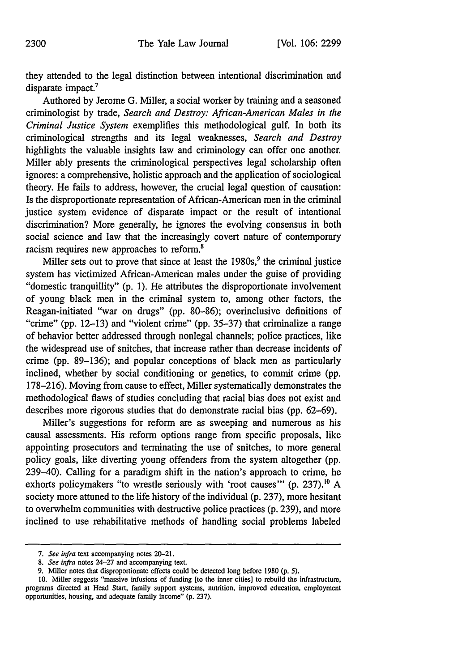they attended to the legal distinction between intentional discrimination and disparate impact.<sup>7</sup>

Authored by Jerome G. Miller, a social worker by training and a seasoned criminologist by trade, *Search and Destroy: African-American Males in the Criminal Justice System* exemplifies this methodological gulf. In both its criminological strengths and its legal weaknesses, *Search and Destroy* highlights the valuable insights law and criminology can offer one another. Miller ably presents the criminological perspectives legal scholarship often ignores: a comprehensive, holistic approach and the application of sociological theory. He fails to address, however, the crucial legal question of causation: Is the disproportionate representation of African-American men in the criminal justice system evidence of disparate impact or the result of intentional discrimination? More generally, he ignores the evolving consensus in both social science and law that the increasingly covert nature of contemporary racism requires new approaches to reform.<sup>8</sup>

Miller sets out to prove that since at least the  $1980s$ , the criminal justice system has victimized African-American males under the guise of providing "domestic tranquillity" (p. 1). He attributes the disproportionate involvement of young black men in the criminal system to, among other factors, the Reagan-initiated "war on drugs" (pp. 80-86); overinclusive definitions of "crime" (pp. 12-13) and "violent crime" (pp. 35-37) that criminalize a range of behavior better addressed through nonlegal channels; police practices, like the widespread use of snitches, that increase rather than decrease incidents of crime (pp. 89-136); and popular conceptions of black men as particularly inclined, whether by social conditioning or genetics, to commit crime (pp. 178-216). Moving from cause to effect, Miller systematically demonstrates the methodological flaws of studies concluding that racial bias does not exist and describes more rigorous studies that do demonstrate racial bias (pp. 62-69).

Miller's suggestions for reform are as sweeping and numerous as his causal assessments. His reform options range from specific proposals, like appointing prosecutors and terminating the use of snitches, to more general policy goals, like diverting young offenders from the system altogether (pp. 239-40). Calling for a paradigm shift in the nation's approach to crime, he exhorts policymakers "to wrestle seriously with 'root causes"' (p. **237).10** A society more attuned to the life history of the individual (p. 237), more hesitant to overwhelm communities with destructive police practices (p. 239), and more inclined to use rehabilitative methods of handling social problems labeled

*<sup>7.</sup> See infra* text accompanying notes 20-21.

*<sup>8.</sup> See infra* notes 24-27 and accompanying text.

<sup>9.</sup> Miller notes that disproportionate effects could be detected long before 1980 (p. *5).*

**<sup>10.</sup>** Miller suggests "massive infusions of funding [to the inner cities] to rebuild the infrastructure, programs directed at Head Start, family support systems, nutrition, improved education, employment opportunities, housing, and adequate family income" (p. 237).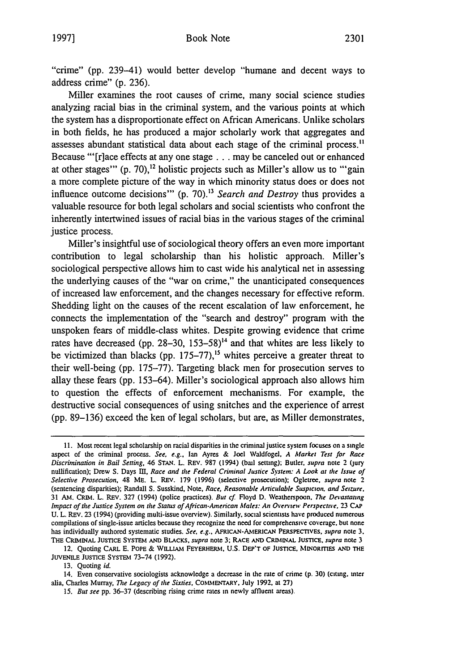"crime" (pp. 239-41) would better develop "humane and decent ways to address crime" (p. 236).

Miller examines the root causes of crime, many social science studies analyzing racial bias in the criminal system, and the various points at which the system has a disproportionate effect on African Americans. Unlike scholars in both fields, he has produced a major scholarly work that aggregates and assesses abundant statistical data about each stage of the criminal process." Because "'[r]ace effects at any one stage **...** may be canceled out or enhanced at other stages" (p. 70),<sup>12</sup> holistic projects such as Miller's allow us to "'gain a more complete picture of the way in which minority status does or does not influence outcome decisions" (p. 70).<sup>13</sup> Search and Destroy thus provides a valuable resource for both legal scholars and social scientists who confront the inherently intertwined issues of racial bias in the various stages of the criminal justice process.

Miller's insightful use of sociological theory offers an even more important contribution to legal scholarship than his holistic approach. Miller's sociological perspective allows him to cast wide his analytical net in assessing the underlying causes of the "war on crime," the unanticipated consequences of increased law enforcement, and the changes necessary for effective reform. Shedding light on the causes of the recent escalation of law enforcement, he connects the implementation of the "search and destroy" program with the unspoken fears of middle-class whites. Despite growing evidence that crime rates have decreased (pp. 28–30, 153–58)<sup> $14$ </sup> and that whites are less likely to be victimized than blacks (pp. 175-77),<sup>15</sup> whites perceive a greater threat to their well-being (pp. 175-77). Targeting black men for prosecution serves to allay these fears (pp. 153-64). Miller's sociological approach also allows him to question the effects of enforcement mechanisms. For example, the destructive social consequences of using snitches and the experience of arrest (pp. 89-136) exceed the ken of legal scholars, but are, as Miller demonstrates,

13. Quoting id.

**<sup>11.</sup>** Most recent legal scholarship on racial disparities in the criminal justice system focuses on a single aspect of the criminal process. **See, e.g..** Ian Ayres & Joel Waldfogel, *A* **Market Test for Race** Discrimination in Bail Setting, 46 **STAN.** L. REv. 987 (1994) (bail settng); Butler. supra note 2 (Jury nullification); Drew **S.** Days **III,** Race and *the* Federal Criminal Justice System: A Look at *the Issue* of Selective Prosecution, 48 ME. L. REV. 179 (1996) (selective prosecution); Ogletree, supra note 2 (sentencing disparities); Randall S. Susskind, Note, Race, Reasonable Articulable Suspicion. and **Seizure.** 31 AM. CRIM. L. REV. 327 (1994) (police practices). But cf. Floyd D. Weatherspoon, The Devastating Impact of *the* Justice System on *the* Status of African-American *AMales:* An *Overview* Perspective. **23 CAP** U. L. REv. 23 (1994) (providing multi-issue overview). Similarly, social scientists have produced numerous compilations of single-issue articles because they recognize the need for comprehensive coverage, but none has individually authored systematic studies. See. e.g.. **AFRICAN-ANIERICAN** PERSPECTIVES, supra note 3. THE CRIMINAL JUSTICE SYSTEM **AND BLACKS,** supra note **3;** RACE **AND** CRIINAL **JUSTICE.** supra note **3**

<sup>12.</sup> Quoting CARL E. POPE & **WILLIAM** FEYERHERNI, U.S. DEP'T OF **JUSTICE,** MINORITIFS **AND THE** JUVENILE JUSTICE SYSTEM 73-74 (1992).

<sup>14.</sup> Even conservative sociologists acknowledge a decrease in the rute **of** crime **(p. 30)** (citing. unter alia, Charles Murray, *77e* Legacy of the Sixties, **COMMENTARY.** July 1992. at **27)**

<sup>15.</sup> But see pp. 36-37 (describing rising crime rates in newly affluent areas).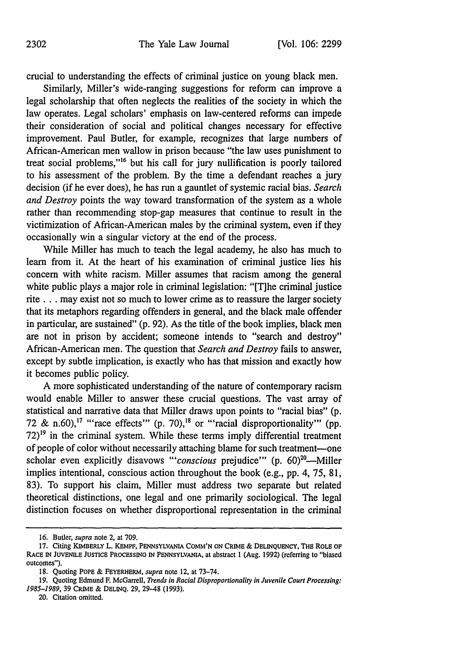crucial to understanding the effects of criminal justice on young black men.

Similarly, Miller's wide-ranging suggestions for reform can improve a legal scholarship that often neglects the realities of the society in which the law operates. Legal scholars' emphasis on law-centered reforms can impede their consideration of social and political changes necessary for effective improvement. Paul Butler, for example, recognizes that large numbers of African-American men wallow in prison because "the law uses punishment to treat social problems,"<sup>16</sup> but his call for jury nullification is poorly tailored to his assessment of the problem. By the time a defendant reaches a jury decision (if he ever does), he has run a gauntlet of systemic racial bias. *Search and Destroy* points the way toward transformation of the system as a whole rather than recommending stop-gap measures that continue to result in the victimization of African-American males by the criminal system, even if they occasionally win a singular victory at the end of the process.

While Miller has much to teach the legal academy, he also has much to learn from it. At the heart of his examination of criminal justice lies his concern with white racism. Miller assumes that racism among the general white public plays a major role in criminal legislation: "[T]he criminal justice rite **...** may exist not so much to lower crime as to reassure the larger society that its metaphors regarding offenders in general, and the black male offender in particular, are sustained" (p. 92). As the title of the book implies, black men are not in prison by accident; someone intends to "search and destroy" African-American men. The question that *Search and Destroy* fails to answer, except by subtle implication, is exactly who has that mission and exactly how it becomes public policy.

A more sophisticated understanding of the nature of contemporary racism would enable Miller to answer these crucial questions. The vast array of statistical and narrative data that Miller draws upon points to "racial bias" (p. 72 & n.60),<sup>17</sup> "race effects" (p. 70),<sup>18</sup> or "'racial disproportionality" (pp.  $72$ <sup>19</sup> in the criminal system. While these terms imply differential treatment of people of color without necessarily attaching blame for such treatment-one scholar even explicitly disavows "'conscious prejudice'" (p. 60)<sup>20</sup>-Miller implies intentional, conscious action throughout the book (e.g., pp. 4, 75, 81, 83). To support his claim, Miller must address two separate but related theoretical distinctions, one legal and one primarily sociological. The legal distinction focuses on whether disproportional representation in the criminal

<sup>16.</sup> Butler, *supra* note 2, at 709.

**<sup>17.</sup>** Citing KIMBERLY L. KEMPF, PENNSYLVANIA **COMM'N ON** CRIME & DELINQUENCY, THE ROLE **OF** RACE IN **JUVENME** JUSTICE PROCESSING IN PENNSYLVANIA, at abstract 1 (Aug. **1992)** (referring to "biased outcomes").

**<sup>18.</sup>** Quoting POPE & FEYERHERM, *supra* note 12, at **73-74.**

<sup>19.</sup> Quoting Edmund F. McGarrell, *Trends in Racial Disproportionality in Juvenile Court Processing:* 1985-1989, **39** CRIME & DELINQ. 29, 29-48 (1993).

<sup>20.</sup> Citation omitted.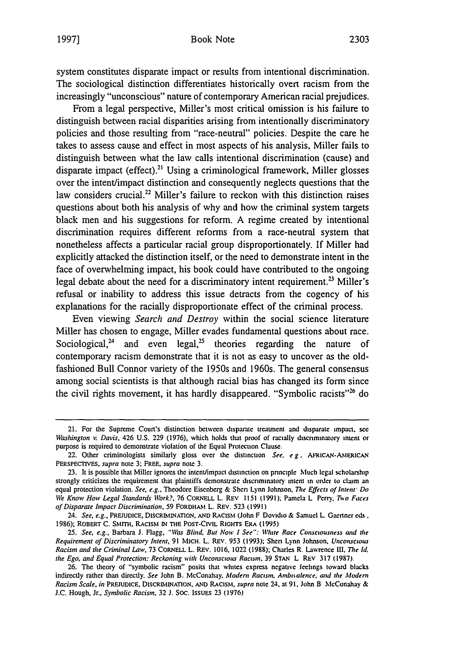system constitutes disparate impact or results from intentional discrimination. The sociological distinction differentiates historically overt racism from the increasingly "unconscious" nature of contemporary American racial prejudices.

From a legal perspective, Miller's most critical omission is his failure to distinguish between racial disparities arising from intentionally discriminatory policies and those resulting from "race-neutral" policies. Despite the care he takes to assess cause and effect in most aspects of his analysis, Miller fails to distinguish between what the law calls intentional discrimination (cause) and disparate impact (effect).<sup>21</sup> Using a criminological framework, Miller glosses over the intent/impact distinction and consequently neglects questions that the law considers crucial.<sup>22</sup> Miller's failure to reckon with this distinction raises questions about both his analysis of why and how the criminal system targets black men and his suggestions for reform. **A** regime created **by** intentional discrimination requires different reforms from a race-neutral system that nonetheless affects a particular racial group disproportionately. **If** Miller had explicitly attacked the distinction itself, or the need to demonstrate intent in the face of overwhelming impact, his book could have contributed to the ongoing legal debate about the need for a discriminatory intent requirement.<sup>23</sup> Miller's refusal or inability to address this issue detracts from the cogency of his explanations for the racially disproportionate effect of the criminal process.

Even viewing Search *and Destroy* within the social science literature Miller has chosen to engage, Miller evades fundamental questions about race. Sociological,<sup>24</sup> and even legal,<sup>25</sup> theories regarding the nature of contemporary racism demonstrate that it is not as easy to uncover as the oldfashioned Bull Connor variety of the 1950s and 1960s. The general consensus among social scientists is that although racial bias has changed its form since the civil rights movement, it has hardly disappeared. "Symbolic **racists' <sup>26</sup>**do

<sup>21.</sup> For the Supreme Court's distinction between disparate treatment and disparate impact. see *Washington v. Davis,* 426 U.S. 229 (1976), which holds that proof of racially dscnminatory intent or purpose is required to demonstrate violation of **the** Equal Protection Clause.

<sup>22.</sup> Other criminologists similarly gloss over **the distinction** *See. e g.* **ARICAN.AMERItCAN** PERSPECTVES, *supra* note 3; FREE, *supra* note 3.

<sup>23.</sup> It is possible that Miller ignores the intent/impact distinction on pnnciple Much legal scholaship strongly criticizes the requirement that plaintiffs demonstrate discriminatory intent in order to claim an equal protection violation. *See, e.g.,* Theodore Eisenberg & Shen Lynn Johnson. *The Effects of Intent Do We Know How Legal Standards Wrk?,* 76 CORNELL L. REv 1151 **(1991);** Pamela L Perry. To *Faces of Disparate Impact Discrimination,* 59 FORDHAi L. REV. 523 (199 **1)**

*<sup>24.</sup> See, e.g.,* PREJUDICE, DIsCRitMINATIoN, **AND** RACISM (John F Dovidio & Samuel L Gaerner eds, 1986); ROBERT C. SMITH, RACISM IN THE POST-CIVIL RIGHTS ERA (1995)

<sup>25.</sup> See, e.g., Barbara **J. Flagg, "Was Blind, But Now I See": White Race Consciousness and the** *Requirement of Discriminatory* Intent, 91 MICH. L. REv. 953 (1993); Shen Lynn Johnson. *Unconscious Racism and the Criminal Law,* 73 CORNELL L. REV. 1016. 1022 (1988); Charles R. Lawrence Ill. *The Id. the Ego, and Equal Protection: Reckoning with Unconscious Racism.* 39 STAN L REv 317 (1987)-

<sup>26.</sup> The theory of "symbolic racism" posits that whites express negatve feelings toward blacks indirectly rather than directly. *See* John B. McConahay. *Modern Racism. Ambitalence. and the Modern Racism Scale, in* PREJUDICE, **DISCRIlMIINATION,** AND RACIsM. *supra* note **24.** at 91. John B McConahay & J.C. Hough, Jr., *Symbolic Racism.* 32 **J.** Soc. IssUEs 23 **(1976)**